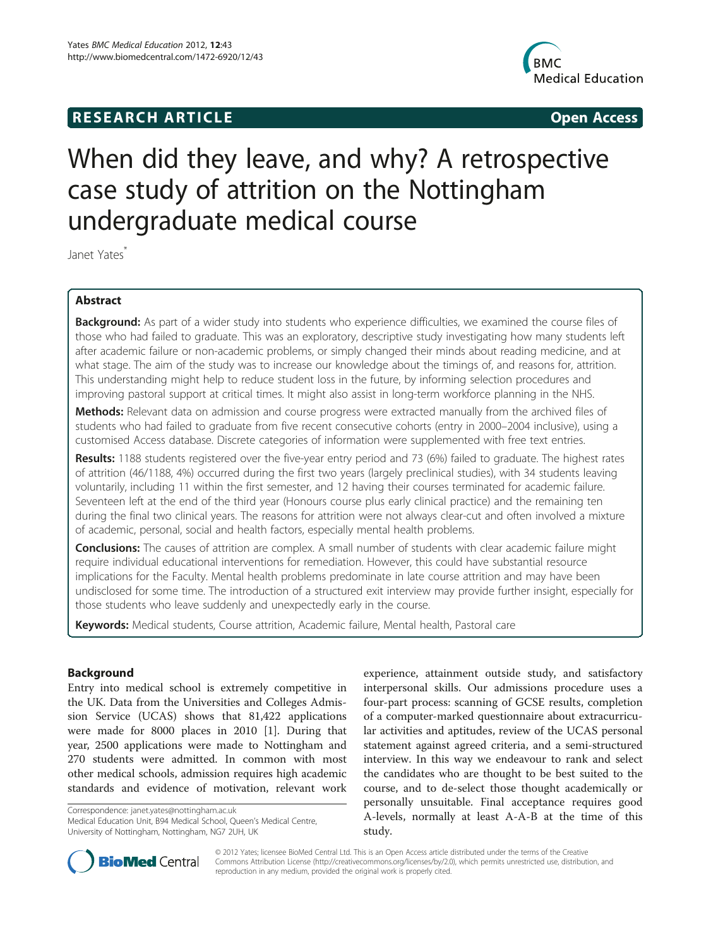# **RESEARCH ARTICLE Example 2014 CONSIDERING CONSIDERING CONSIDERING CONSIDERING CONSIDERING CONSIDERING CONSIDERING CONSIDERING CONSIDERING CONSIDERING CONSIDERING CONSIDERING CONSIDERING CONSIDERING CONSIDERING CONSIDE**



# When did they leave, and why? A retrospective case study of attrition on the Nottingham undergraduate medical course

Janet Yates<sup>\*</sup>

# Abstract

Background: As part of a wider study into students who experience difficulties, we examined the course files of those who had failed to graduate. This was an exploratory, descriptive study investigating how many students left after academic failure or non-academic problems, or simply changed their minds about reading medicine, and at what stage. The aim of the study was to increase our knowledge about the timings of, and reasons for, attrition. This understanding might help to reduce student loss in the future, by informing selection procedures and improving pastoral support at critical times. It might also assist in long-term workforce planning in the NHS.

Methods: Relevant data on admission and course progress were extracted manually from the archived files of students who had failed to graduate from five recent consecutive cohorts (entry in 2000–2004 inclusive), using a customised Access database. Discrete categories of information were supplemented with free text entries.

Results: 1188 students registered over the five-year entry period and 73 (6%) failed to graduate. The highest rates of attrition (46/1188, 4%) occurred during the first two years (largely preclinical studies), with 34 students leaving voluntarily, including 11 within the first semester, and 12 having their courses terminated for academic failure. Seventeen left at the end of the third year (Honours course plus early clinical practice) and the remaining ten during the final two clinical years. The reasons for attrition were not always clear-cut and often involved a mixture of academic, personal, social and health factors, especially mental health problems.

**Conclusions:** The causes of attrition are complex. A small number of students with clear academic failure might require individual educational interventions for remediation. However, this could have substantial resource implications for the Faculty. Mental health problems predominate in late course attrition and may have been undisclosed for some time. The introduction of a structured exit interview may provide further insight, especially for those students who leave suddenly and unexpectedly early in the course.

Keywords: Medical students, Course attrition, Academic failure, Mental health, Pastoral care

# Background

Entry into medical school is extremely competitive in the UK. Data from the Universities and Colleges Admission Service (UCAS) shows that 81,422 applications were made for 8000 places in 2010 [\[1](#page-6-0)]. During that year, 2500 applications were made to Nottingham and 270 students were admitted. In common with most other medical schools, admission requires high academic standards and evidence of motivation, relevant work

Correspondence: [janet.yates@nottingham.ac.uk](mailto:janet.yates@nottingham.ac.uk)

Medical Education Unit, B94 Medical School, Queen's Medical Centre, University of Nottingham, Nottingham, NG7 2UH, UK

experience, attainment outside study, and satisfactory interpersonal skills. Our admissions procedure uses a four-part process: scanning of GCSE results, completion of a computer-marked questionnaire about extracurricular activities and aptitudes, review of the UCAS personal statement against agreed criteria, and a semi-structured interview. In this way we endeavour to rank and select the candidates who are thought to be best suited to the course, and to de-select those thought academically or personally unsuitable. Final acceptance requires good A-levels, normally at least A-A-B at the time of this study.



© 2012 Yates; licensee BioMed Central Ltd. This is an Open Access article distributed under the terms of the Creative Commons Attribution License [\(http://creativecommons.org/licenses/by/2.0\)](http://creativecommons.org/licenses/by/2.0), which permits unrestricted use, distribution, and reproduction in any medium, provided the original work is properly cited.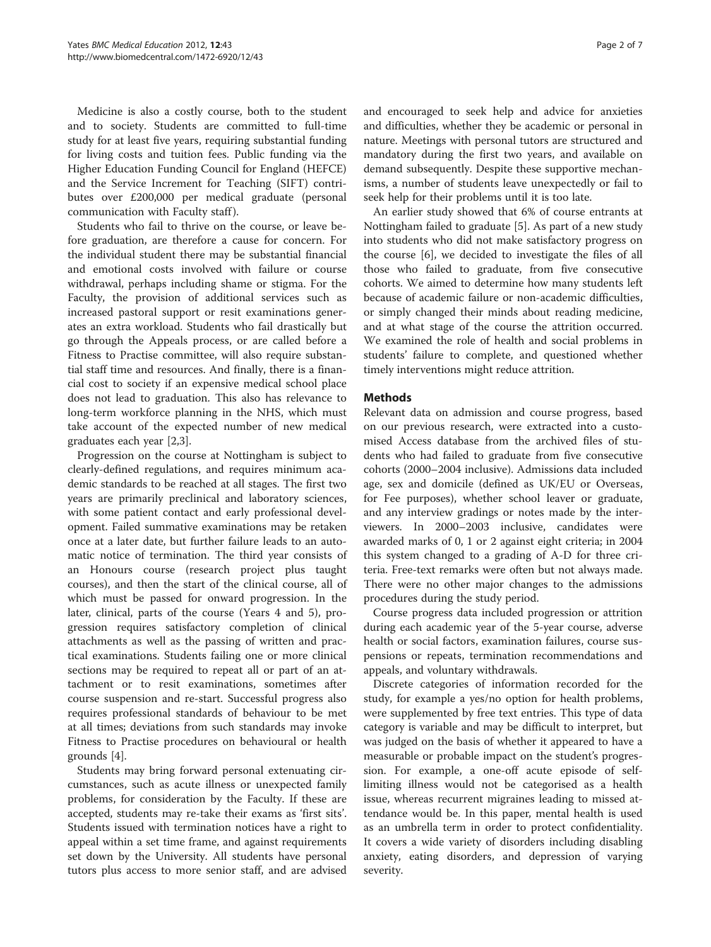Medicine is also a costly course, both to the student and to society. Students are committed to full-time study for at least five years, requiring substantial funding for living costs and tuition fees. Public funding via the Higher Education Funding Council for England (HEFCE) and the Service Increment for Teaching (SIFT) contributes over £200,000 per medical graduate (personal communication with Faculty staff ).

Students who fail to thrive on the course, or leave before graduation, are therefore a cause for concern. For the individual student there may be substantial financial and emotional costs involved with failure or course withdrawal, perhaps including shame or stigma. For the Faculty, the provision of additional services such as increased pastoral support or resit examinations generates an extra workload. Students who fail drastically but go through the Appeals process, or are called before a Fitness to Practise committee, will also require substantial staff time and resources. And finally, there is a financial cost to society if an expensive medical school place does not lead to graduation. This also has relevance to long-term workforce planning in the NHS, which must take account of the expected number of new medical graduates each year [\[2,3](#page-6-0)].

Progression on the course at Nottingham is subject to clearly-defined regulations, and requires minimum academic standards to be reached at all stages. The first two years are primarily preclinical and laboratory sciences, with some patient contact and early professional development. Failed summative examinations may be retaken once at a later date, but further failure leads to an automatic notice of termination. The third year consists of an Honours course (research project plus taught courses), and then the start of the clinical course, all of which must be passed for onward progression. In the later, clinical, parts of the course (Years 4 and 5), progression requires satisfactory completion of clinical attachments as well as the passing of written and practical examinations. Students failing one or more clinical sections may be required to repeat all or part of an attachment or to resit examinations, sometimes after course suspension and re-start. Successful progress also requires professional standards of behaviour to be met at all times; deviations from such standards may invoke Fitness to Practise procedures on behavioural or health grounds [\[4\]](#page-6-0).

Students may bring forward personal extenuating circumstances, such as acute illness or unexpected family problems, for consideration by the Faculty. If these are accepted, students may re-take their exams as 'first sits'. Students issued with termination notices have a right to appeal within a set time frame, and against requirements set down by the University. All students have personal tutors plus access to more senior staff, and are advised

and encouraged to seek help and advice for anxieties and difficulties, whether they be academic or personal in nature. Meetings with personal tutors are structured and mandatory during the first two years, and available on demand subsequently. Despite these supportive mechanisms, a number of students leave unexpectedly or fail to seek help for their problems until it is too late.

An earlier study showed that 6% of course entrants at Nottingham failed to graduate [[5\]](#page-6-0). As part of a new study into students who did not make satisfactory progress on the course [[6\]](#page-6-0), we decided to investigate the files of all those who failed to graduate, from five consecutive cohorts. We aimed to determine how many students left because of academic failure or non-academic difficulties, or simply changed their minds about reading medicine, and at what stage of the course the attrition occurred. We examined the role of health and social problems in students' failure to complete, and questioned whether timely interventions might reduce attrition.

# Methods

Relevant data on admission and course progress, based on our previous research, were extracted into a customised Access database from the archived files of students who had failed to graduate from five consecutive cohorts (2000–2004 inclusive). Admissions data included age, sex and domicile (defined as UK/EU or Overseas, for Fee purposes), whether school leaver or graduate, and any interview gradings or notes made by the interviewers. In 2000–2003 inclusive, candidates were awarded marks of 0, 1 or 2 against eight criteria; in 2004 this system changed to a grading of A-D for three criteria. Free-text remarks were often but not always made. There were no other major changes to the admissions procedures during the study period.

Course progress data included progression or attrition during each academic year of the 5-year course, adverse health or social factors, examination failures, course suspensions or repeats, termination recommendations and appeals, and voluntary withdrawals.

Discrete categories of information recorded for the study, for example a yes/no option for health problems, were supplemented by free text entries. This type of data category is variable and may be difficult to interpret, but was judged on the basis of whether it appeared to have a measurable or probable impact on the student's progression. For example, a one-off acute episode of selflimiting illness would not be categorised as a health issue, whereas recurrent migraines leading to missed attendance would be. In this paper, mental health is used as an umbrella term in order to protect confidentiality. It covers a wide variety of disorders including disabling anxiety, eating disorders, and depression of varying severity.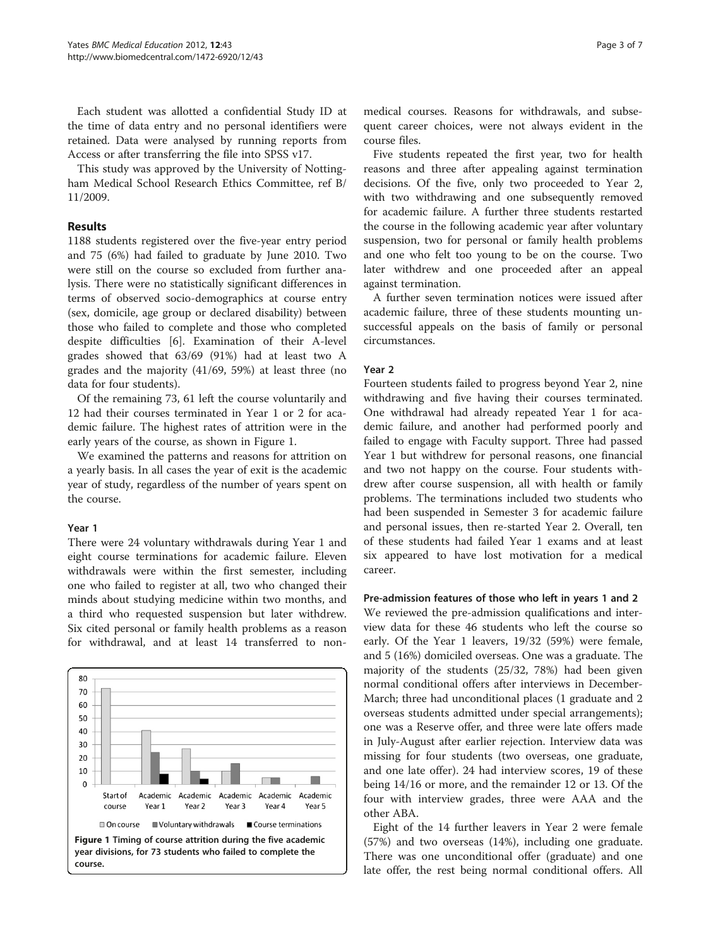Each student was allotted a confidential Study ID at the time of data entry and no personal identifiers were retained. Data were analysed by running reports from Access or after transferring the file into SPSS v17.

This study was approved by the University of Nottingham Medical School Research Ethics Committee, ref B/ 11/2009.

#### Results

1188 students registered over the five-year entry period and 75 (6%) had failed to graduate by June 2010. Two were still on the course so excluded from further analysis. There were no statistically significant differences in terms of observed socio-demographics at course entry (sex, domicile, age group or declared disability) between those who failed to complete and those who completed despite difficulties [[6\]](#page-6-0). Examination of their A-level grades showed that 63/69 (91%) had at least two A grades and the majority (41/69, 59%) at least three (no data for four students).

Of the remaining 73, 61 left the course voluntarily and 12 had their courses terminated in Year 1 or 2 for academic failure. The highest rates of attrition were in the early years of the course, as shown in Figure 1.

We examined the patterns and reasons for attrition on a yearly basis. In all cases the year of exit is the academic year of study, regardless of the number of years spent on the course.

#### Year 1

There were 24 voluntary withdrawals during Year 1 and eight course terminations for academic failure. Eleven withdrawals were within the first semester, including one who failed to register at all, two who changed their minds about studying medicine within two months, and a third who requested suspension but later withdrew. Six cited personal or family health problems as a reason for withdrawal, and at least 14 transferred to non-

80 70 60 50 40 30  $20$ 10 **COL**  $\Omega$ Start of Academic Academic Academic Academic Academic course Year 1 Year<sub>2</sub> Year<sub>3</sub> Year 4 Year 5  $\Box$  On course  $\Box$  Voluntary withdrawals Course terminations Figure 1 Timing of course attrition during the five academic year divisions, for 73 students who failed to complete the course.

medical courses. Reasons for withdrawals, and subsequent career choices, were not always evident in the course files.

Five students repeated the first year, two for health reasons and three after appealing against termination decisions. Of the five, only two proceeded to Year 2, with two withdrawing and one subsequently removed for academic failure. A further three students restarted the course in the following academic year after voluntary suspension, two for personal or family health problems and one who felt too young to be on the course. Two later withdrew and one proceeded after an appeal against termination.

A further seven termination notices were issued after academic failure, three of these students mounting unsuccessful appeals on the basis of family or personal circumstances.

# Year 2

Fourteen students failed to progress beyond Year 2, nine withdrawing and five having their courses terminated. One withdrawal had already repeated Year 1 for academic failure, and another had performed poorly and failed to engage with Faculty support. Three had passed Year 1 but withdrew for personal reasons, one financial and two not happy on the course. Four students withdrew after course suspension, all with health or family problems. The terminations included two students who had been suspended in Semester 3 for academic failure and personal issues, then re-started Year 2. Overall, ten of these students had failed Year 1 exams and at least six appeared to have lost motivation for a medical career.

#### Pre-admission features of those who left in years 1 and 2

We reviewed the pre-admission qualifications and interview data for these 46 students who left the course so early. Of the Year 1 leavers, 19/32 (59%) were female, and 5 (16%) domiciled overseas. One was a graduate. The majority of the students (25/32, 78%) had been given normal conditional offers after interviews in December-March; three had unconditional places (1 graduate and 2 overseas students admitted under special arrangements); one was a Reserve offer, and three were late offers made in July-August after earlier rejection. Interview data was missing for four students (two overseas, one graduate, and one late offer). 24 had interview scores, 19 of these being 14/16 or more, and the remainder 12 or 13. Of the four with interview grades, three were AAA and the other ABA.

Eight of the 14 further leavers in Year 2 were female (57%) and two overseas (14%), including one graduate. There was one unconditional offer (graduate) and one late offer, the rest being normal conditional offers. All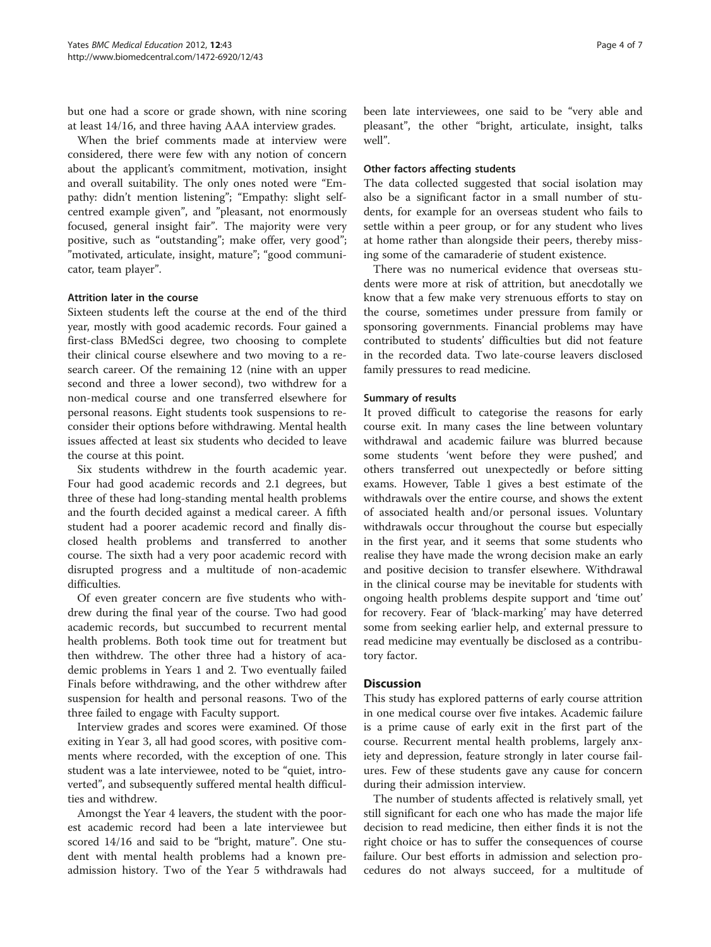but one had a score or grade shown, with nine scoring at least 14/16, and three having AAA interview grades.

When the brief comments made at interview were considered, there were few with any notion of concern about the applicant's commitment, motivation, insight and overall suitability. The only ones noted were "Empathy: didn't mention listening"; "Empathy: slight selfcentred example given", and "pleasant, not enormously focused, general insight fair". The majority were very positive, such as "outstanding"; make offer, very good"; "motivated, articulate, insight, mature"; "good communicator, team player".

# Attrition later in the course

Sixteen students left the course at the end of the third year, mostly with good academic records. Four gained a first-class BMedSci degree, two choosing to complete their clinical course elsewhere and two moving to a research career. Of the remaining 12 (nine with an upper second and three a lower second), two withdrew for a non-medical course and one transferred elsewhere for personal reasons. Eight students took suspensions to reconsider their options before withdrawing. Mental health issues affected at least six students who decided to leave the course at this point.

Six students withdrew in the fourth academic year. Four had good academic records and 2.1 degrees, but three of these had long-standing mental health problems and the fourth decided against a medical career. A fifth student had a poorer academic record and finally disclosed health problems and transferred to another course. The sixth had a very poor academic record with disrupted progress and a multitude of non-academic difficulties.

Of even greater concern are five students who withdrew during the final year of the course. Two had good academic records, but succumbed to recurrent mental health problems. Both took time out for treatment but then withdrew. The other three had a history of academic problems in Years 1 and 2. Two eventually failed Finals before withdrawing, and the other withdrew after suspension for health and personal reasons. Two of the three failed to engage with Faculty support.

Interview grades and scores were examined. Of those exiting in Year 3, all had good scores, with positive comments where recorded, with the exception of one. This student was a late interviewee, noted to be "quiet, introverted", and subsequently suffered mental health difficulties and withdrew.

Amongst the Year 4 leavers, the student with the poorest academic record had been a late interviewee but scored 14/16 and said to be "bright, mature". One student with mental health problems had a known preadmission history. Two of the Year 5 withdrawals had

been late interviewees, one said to be "very able and pleasant", the other "bright, articulate, insight, talks well".

#### Other factors affecting students

The data collected suggested that social isolation may also be a significant factor in a small number of students, for example for an overseas student who fails to settle within a peer group, or for any student who lives at home rather than alongside their peers, thereby missing some of the camaraderie of student existence.

There was no numerical evidence that overseas students were more at risk of attrition, but anecdotally we know that a few make very strenuous efforts to stay on the course, sometimes under pressure from family or sponsoring governments. Financial problems may have contributed to students' difficulties but did not feature in the recorded data. Two late-course leavers disclosed family pressures to read medicine.

# Summary of results

It proved difficult to categorise the reasons for early course exit. In many cases the line between voluntary withdrawal and academic failure was blurred because some students 'went before they were pushed', and others transferred out unexpectedly or before sitting exams. However, Table [1](#page-4-0) gives a best estimate of the withdrawals over the entire course, and shows the extent of associated health and/or personal issues. Voluntary withdrawals occur throughout the course but especially in the first year, and it seems that some students who realise they have made the wrong decision make an early and positive decision to transfer elsewhere. Withdrawal in the clinical course may be inevitable for students with ongoing health problems despite support and 'time out' for recovery. Fear of 'black-marking' may have deterred some from seeking earlier help, and external pressure to read medicine may eventually be disclosed as a contributory factor.

#### **Discussion**

This study has explored patterns of early course attrition in one medical course over five intakes. Academic failure is a prime cause of early exit in the first part of the course. Recurrent mental health problems, largely anxiety and depression, feature strongly in later course failures. Few of these students gave any cause for concern during their admission interview.

The number of students affected is relatively small, yet still significant for each one who has made the major life decision to read medicine, then either finds it is not the right choice or has to suffer the consequences of course failure. Our best efforts in admission and selection procedures do not always succeed, for a multitude of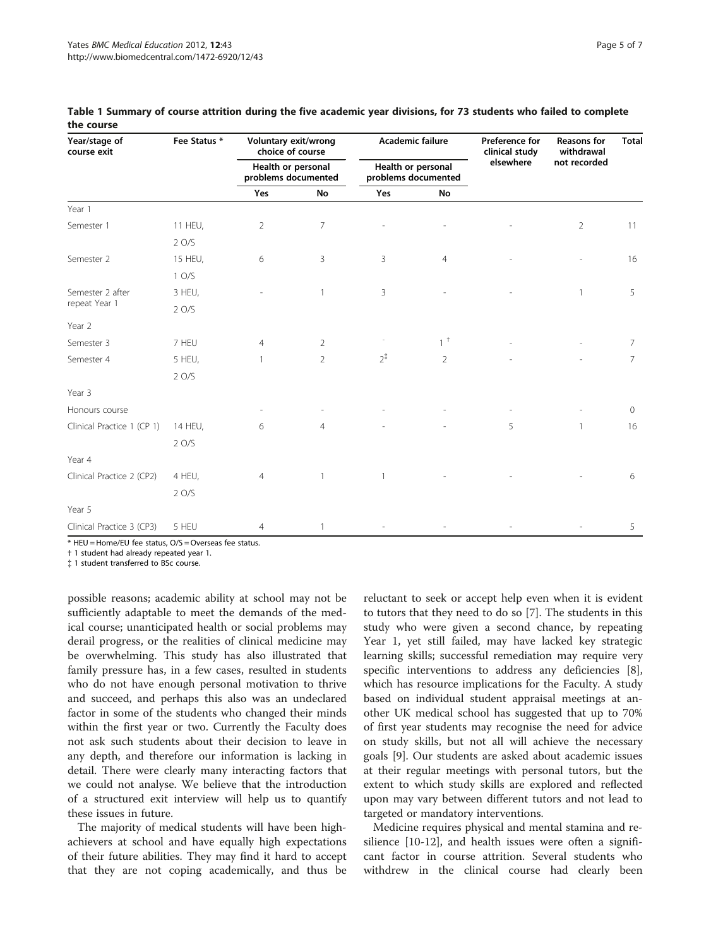| Year/stage of<br>course exit      | Fee Status * | Voluntary exit/wrong<br>choice of course<br>Health or personal<br>problems documented |                | Academic failure<br>Health or personal<br>problems documented |                | Preference for<br>clinical study<br>elsewhere | <b>Reasons for</b><br>withdrawal<br>not recorded | <b>Total</b>   |
|-----------------------------------|--------------|---------------------------------------------------------------------------------------|----------------|---------------------------------------------------------------|----------------|-----------------------------------------------|--------------------------------------------------|----------------|
|                                   |              |                                                                                       |                |                                                               |                |                                               |                                                  |                |
|                                   |              | Year 1                                                                                |                |                                                               |                |                                               |                                                  |                |
| Semester 1                        | 11 HEU,      | $\overline{2}$                                                                        | $\overline{7}$ |                                                               |                |                                               | $\overline{2}$                                   | 11             |
|                                   | 2 O/S        |                                                                                       |                |                                                               |                |                                               |                                                  |                |
| Semester 2                        | 15 HEU,      | 6                                                                                     | 3              | 3                                                             | 4              |                                               |                                                  | 16             |
|                                   | 1 O/S        |                                                                                       |                |                                                               |                |                                               |                                                  |                |
| Semester 2 after<br>repeat Year 1 | 3 HEU,       |                                                                                       | $\mathbf{1}$   | 3                                                             |                |                                               | $\mathbf{1}$                                     | 5              |
|                                   | 2 O/S        |                                                                                       |                |                                                               |                |                                               |                                                  |                |
| Year 2                            |              |                                                                                       |                |                                                               |                |                                               |                                                  |                |
| Semester 3                        | 7 HEU        | $\overline{4}$                                                                        | 2              |                                                               | $1^+$          |                                               |                                                  | 7              |
| Semester 4                        | 5 HEU,       | 1                                                                                     | $\overline{2}$ | $2^{\ddagger}$                                                | $\overline{2}$ |                                               |                                                  | $\overline{7}$ |
|                                   | 2 O/S        |                                                                                       |                |                                                               |                |                                               |                                                  |                |
| Year 3                            |              |                                                                                       |                |                                                               |                |                                               |                                                  |                |
| Honours course                    |              |                                                                                       |                |                                                               |                |                                               |                                                  | $\circ$        |
| Clinical Practice 1 (CP 1)        | 14 HEU,      | 6                                                                                     | $\overline{4}$ |                                                               |                | 5                                             |                                                  | 16             |
|                                   | 2 O/S        |                                                                                       |                |                                                               |                |                                               |                                                  |                |
| Year 4                            |              |                                                                                       |                |                                                               |                |                                               |                                                  |                |
| Clinical Practice 2 (CP2)         | 4 HEU,       | 4                                                                                     | $\mathbf{1}$   | $\mathbf{1}$                                                  |                |                                               |                                                  | 6              |
|                                   | 2 O/S        |                                                                                       |                |                                                               |                |                                               |                                                  |                |
| Year 5                            |              |                                                                                       |                |                                                               |                |                                               |                                                  |                |
| Clinical Practice 3 (CP3)         | 5 HEU        | $\overline{4}$                                                                        |                |                                                               |                |                                               |                                                  | 5              |

<span id="page-4-0"></span>Table 1 Summary of course attrition during the five academic year divisions, for 73 students who failed to complete the course

\* HEU = Home/EU fee status, O/S = Overseas fee status.

† 1 student had already repeated year 1.

{ 1 student transferred to BSc course.

possible reasons; academic ability at school may not be sufficiently adaptable to meet the demands of the medical course; unanticipated health or social problems may derail progress, or the realities of clinical medicine may be overwhelming. This study has also illustrated that family pressure has, in a few cases, resulted in students who do not have enough personal motivation to thrive and succeed, and perhaps this also was an undeclared factor in some of the students who changed their minds within the first year or two. Currently the Faculty does not ask such students about their decision to leave in any depth, and therefore our information is lacking in detail. There were clearly many interacting factors that we could not analyse. We believe that the introduction of a structured exit interview will help us to quantify these issues in future.

The majority of medical students will have been highachievers at school and have equally high expectations of their future abilities. They may find it hard to accept that they are not coping academically, and thus be

reluctant to seek or accept help even when it is evident to tutors that they need to do so [[7](#page-6-0)]. The students in this study who were given a second chance, by repeating Year 1, yet still failed, may have lacked key strategic learning skills; successful remediation may require very specific interventions to address any deficiencies [\[8](#page-6-0)], which has resource implications for the Faculty. A study based on individual student appraisal meetings at another UK medical school has suggested that up to 70% of first year students may recognise the need for advice on study skills, but not all will achieve the necessary goals [\[9\]](#page-6-0). Our students are asked about academic issues at their regular meetings with personal tutors, but the extent to which study skills are explored and reflected upon may vary between different tutors and not lead to targeted or mandatory interventions.

Medicine requires physical and mental stamina and resilience [\[10](#page-6-0)-[12\]](#page-6-0), and health issues were often a significant factor in course attrition. Several students who withdrew in the clinical course had clearly been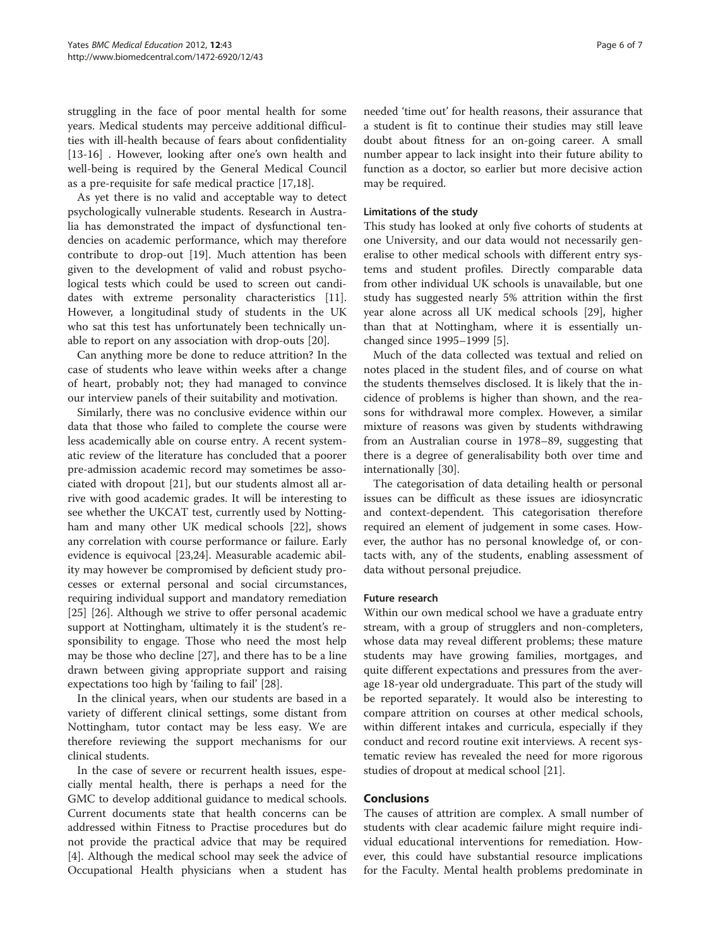struggling in the face of poor mental health for some years. Medical students may perceive additional difficulties with ill-health because of fears about confidentiality [[13-16](#page-6-0)] . However, looking after one's own health and well-being is required by the General Medical Council as a pre-requisite for safe medical practice [\[17,18\]](#page-6-0).

As yet there is no valid and acceptable way to detect psychologically vulnerable students. Research in Australia has demonstrated the impact of dysfunctional tendencies on academic performance, which may therefore contribute to drop-out [[19\]](#page-6-0). Much attention has been given to the development of valid and robust psychological tests which could be used to screen out candi-dates with extreme personality characteristics [\[11](#page-6-0)]. However, a longitudinal study of students in the UK who sat this test has unfortunately been technically unable to report on any association with drop-outs [\[20\]](#page-6-0).

Can anything more be done to reduce attrition? In the case of students who leave within weeks after a change of heart, probably not; they had managed to convince our interview panels of their suitability and motivation.

Similarly, there was no conclusive evidence within our data that those who failed to complete the course were less academically able on course entry. A recent systematic review of the literature has concluded that a poorer pre-admission academic record may sometimes be associated with dropout [[21\]](#page-6-0), but our students almost all arrive with good academic grades. It will be interesting to see whether the UKCAT test, currently used by Nottingham and many other UK medical schools [[22\]](#page-6-0), shows any correlation with course performance or failure. Early evidence is equivocal [\[23,24\]](#page-6-0). Measurable academic ability may however be compromised by deficient study processes or external personal and social circumstances, requiring individual support and mandatory remediation [[25\]](#page-6-0) [\[26](#page-6-0)]. Although we strive to offer personal academic support at Nottingham, ultimately it is the student's responsibility to engage. Those who need the most help may be those who decline [[27\]](#page-6-0), and there has to be a line drawn between giving appropriate support and raising expectations too high by 'failing to fail' [[28](#page-6-0)].

In the clinical years, when our students are based in a variety of different clinical settings, some distant from Nottingham, tutor contact may be less easy. We are therefore reviewing the support mechanisms for our clinical students.

In the case of severe or recurrent health issues, especially mental health, there is perhaps a need for the GMC to develop additional guidance to medical schools. Current documents state that health concerns can be addressed within Fitness to Practise procedures but do not provide the practical advice that may be required [[4\]](#page-6-0). Although the medical school may seek the advice of Occupational Health physicians when a student has

needed 'time out' for health reasons, their assurance that a student is fit to continue their studies may still leave doubt about fitness for an on-going career. A small number appear to lack insight into their future ability to function as a doctor, so earlier but more decisive action may be required.

# Limitations of the study

This study has looked at only five cohorts of students at one University, and our data would not necessarily generalise to other medical schools with different entry systems and student profiles. Directly comparable data from other individual UK schools is unavailable, but one study has suggested nearly 5% attrition within the first year alone across all UK medical schools [\[29](#page-6-0)], higher than that at Nottingham, where it is essentially unchanged since 1995–1999 [\[5](#page-6-0)].

Much of the data collected was textual and relied on notes placed in the student files, and of course on what the students themselves disclosed. It is likely that the incidence of problems is higher than shown, and the reasons for withdrawal more complex. However, a similar mixture of reasons was given by students withdrawing from an Australian course in 1978–89, suggesting that there is a degree of generalisability both over time and internationally [\[30\]](#page-6-0).

The categorisation of data detailing health or personal issues can be difficult as these issues are idiosyncratic and context-dependent. This categorisation therefore required an element of judgement in some cases. However, the author has no personal knowledge of, or contacts with, any of the students, enabling assessment of data without personal prejudice.

#### Future research

Within our own medical school we have a graduate entry stream, with a group of strugglers and non-completers, whose data may reveal different problems; these mature students may have growing families, mortgages, and quite different expectations and pressures from the average 18-year old undergraduate. This part of the study will be reported separately. It would also be interesting to compare attrition on courses at other medical schools, within different intakes and curricula, especially if they conduct and record routine exit interviews. A recent systematic review has revealed the need for more rigorous studies of dropout at medical school [\[21](#page-6-0)].

#### Conclusions

The causes of attrition are complex. A small number of students with clear academic failure might require individual educational interventions for remediation. However, this could have substantial resource implications for the Faculty. Mental health problems predominate in